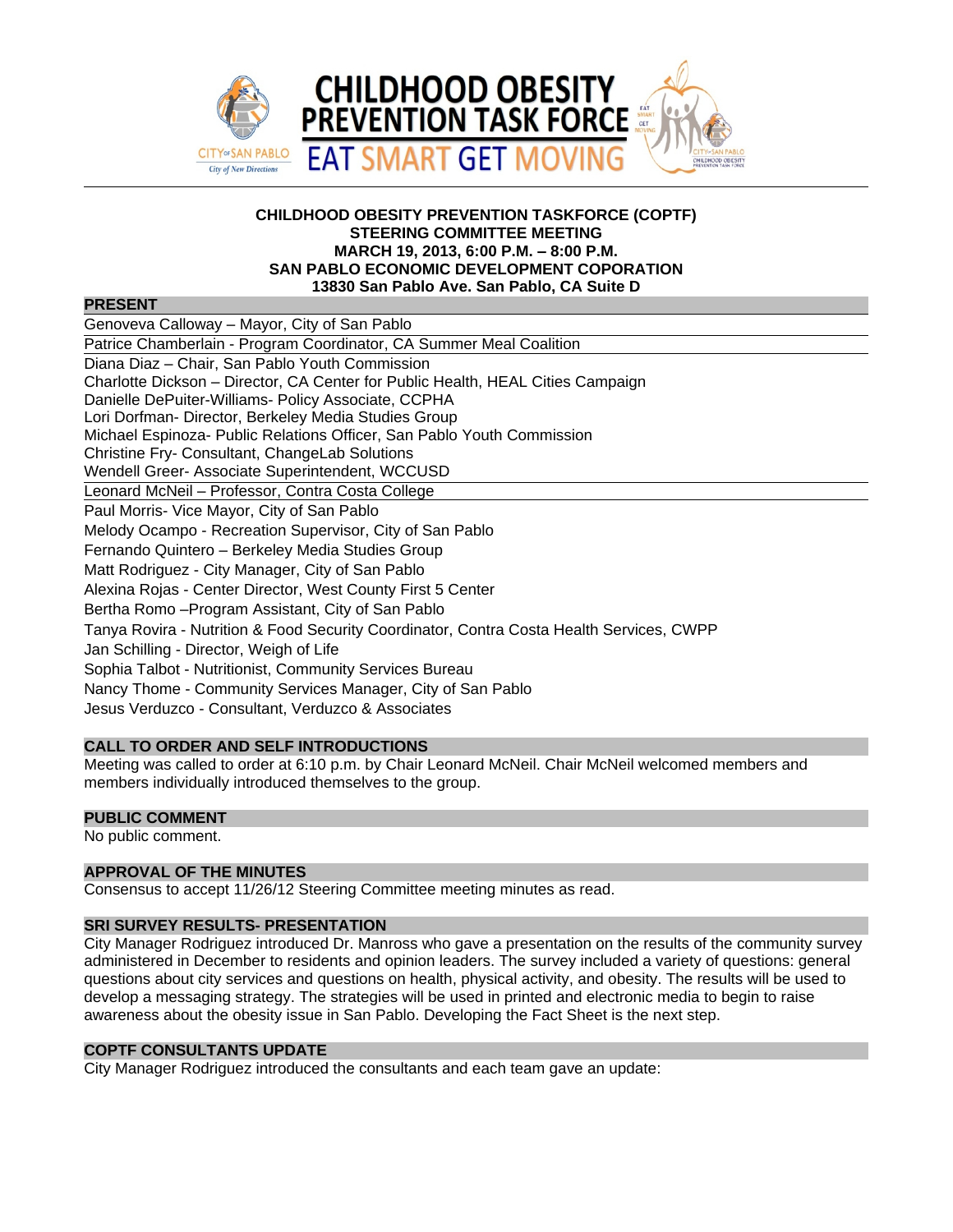

#### **CHILDHOOD OBESITY PREVENTION TASKFORCE (COPTF) STEERING COMMITTEE MEETING MARCH 19, 2013, 6:00 P.M. – 8:00 P.M. SAN PABLO ECONOMIC DEVELOPMENT COPORATION 13830 San Pablo Ave. San Pablo, CA Suite D**

## **PRESENT**

| Genoveva Calloway - Mayor, City of San Pablo                                             |
|------------------------------------------------------------------------------------------|
| Patrice Chamberlain - Program Coordinator, CA Summer Meal Coalition                      |
| Diana Diaz - Chair, San Pablo Youth Commission                                           |
| Charlotte Dickson – Director, CA Center for Public Health, HEAL Cities Campaign          |
| Danielle DePuiter-Williams- Policy Associate, CCPHA                                      |
| Lori Dorfman- Director, Berkeley Media Studies Group                                     |
| Michael Espinoza- Public Relations Officer, San Pablo Youth Commission                   |
| Christine Fry- Consultant, ChangeLab Solutions                                           |
| Wendell Greer- Associate Superintendent, WCCUSD                                          |
| Leonard McNeil - Professor, Contra Costa College                                         |
| Paul Morris- Vice Mayor, City of San Pablo                                               |
| Melody Ocampo - Recreation Supervisor, City of San Pablo                                 |
| Fernando Quintero - Berkeley Media Studies Group                                         |
| Matt Rodriguez - City Manager, City of San Pablo                                         |
| Alexina Rojas - Center Director, West County First 5 Center                              |
| Bertha Romo - Program Assistant, City of San Pablo                                       |
| Tanya Rovira - Nutrition & Food Security Coordinator, Contra Costa Health Services, CWPP |
| Jan Schilling - Director, Weigh of Life                                                  |
| Sophia Talbot - Nutritionist, Community Services Bureau                                  |
| Nancy Thome - Community Services Manager, City of San Pablo                              |
| Jesus Verduzco - Consultant, Verduzco & Associates                                       |

### **CALL TO ORDER AND SELF INTRODUCTIONS**

Meeting was called to order at 6:10 p.m. by Chair Leonard McNeil. Chair McNeil welcomed members and members individually introduced themselves to the group.

#### **PUBLIC COMMENT**

No public comment.

# **APPROVAL OF THE MINUTES**

Consensus to accept 11/26/12 Steering Committee meeting minutes as read.

## **SRI SURVEY RESULTS- PRESENTATION**

City Manager Rodriguez introduced Dr. Manross who gave a presentation on the results of the community survey administered in December to residents and opinion leaders. The survey included a variety of questions: general questions about city services and questions on health, physical activity, and obesity. The results will be used to develop a messaging strategy. The strategies will be used in printed and electronic media to begin to raise awareness about the obesity issue in San Pablo. Developing the Fact Sheet is the next step.

#### **COPTF CONSULTANTS UPDATE**

City Manager Rodriguez introduced the consultants and each team gave an update: